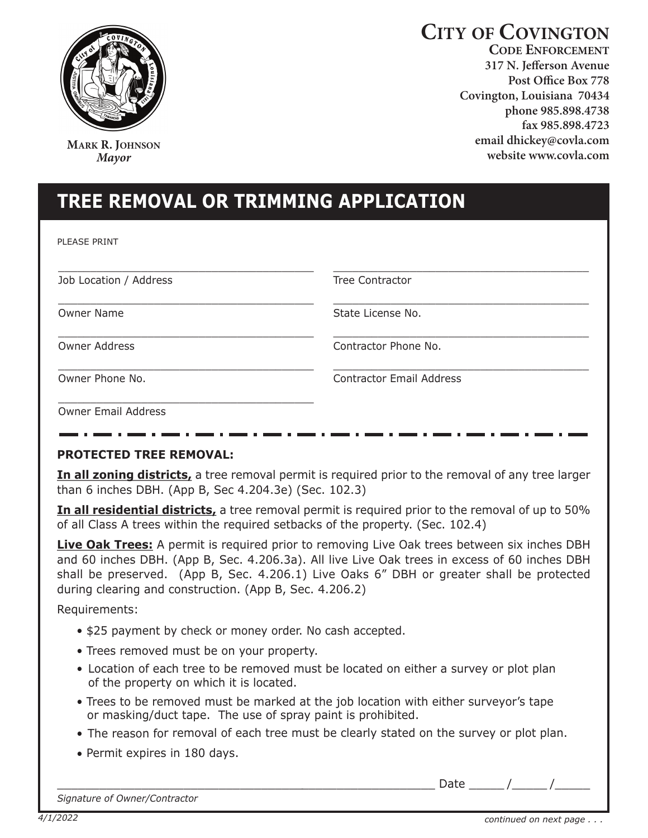

**MARK R. JOHNSON** *Mayor*

# **CITY OF COVINGTON**

**CODE ENFORCEMENT 317 N. Jefferson Avenue Post Office Box 778 Covington, Louisiana 70434 phone 985.898.4738 fax 985.898.4723 email dhickey@covla.com website www.covla.com** 

# **tree removal or trImmING aPPlICatIoN**

PLEASE PRINT

| Job Location / Address     | Tree Contractor                 |
|----------------------------|---------------------------------|
| <b>Owner Name</b>          | State License No.               |
| <b>Owner Address</b>       | Contractor Phone No.            |
| Owner Phone No.            | <b>Contractor Email Address</b> |
| <b>Owner Email Address</b> |                                 |

## **ProteCteD tree removal:**

**In all zoning districts,** a tree removal permit is required prior to the removal of any tree larger than 6 inches DBH. (App B, Sec 4.204.3e) (Sec. 102.3)

**In all residential districts,** a tree removal permit is required prior to the removal of up to 50% of all Class A trees within the required setbacks of the property. (Sec. 102.4)

**Live Oak Trees:** A permit is required prior to removing Live Oak trees between six inches DBH and 60 inches DBH. (App B, Sec. 4.206.3a). All live Live Oak trees in excess of 60 inches DBH shall be preserved. (App B, Sec. 4.206.1) Live Oaks 6" DBH or greater shall be protected during clearing and construction. (App B, Sec. 4.206.2)

Requirements:

- \$25 payment by check or money order. No cash accepted.
- Trees removed must be on your property.
- Location of each tree to be removed must be located on either a survey or plot plan of the property on which it is located.
- Trees to be removed must be marked at the job location with either surveyor's tape or masking/duct tape. The use of spray paint is prohibited.
- The reason for removal of each tree must be clearly stated on the survey or plot plan.
- Permit expires in 180 days.

*Signature of Owner/Contractor*

Date  $\overline{\phantom{a}}$  /